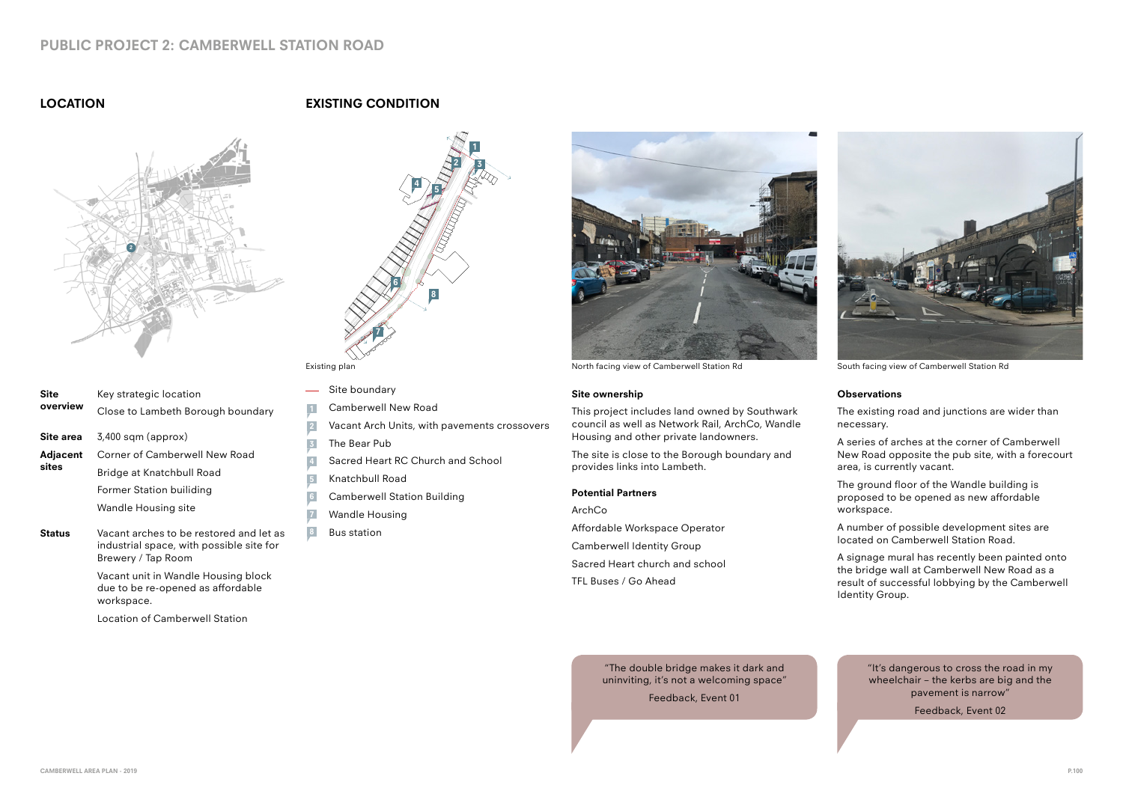

Existing plan North facing view of Camberwell Station Rd South facing view of Camberwell Station Rd

# **PUBLIC PROJECT 2: CAMBERWELL STATION ROAD**

## **LOCATION**

Location of Camberwell Station



### **Observations**

The existing road and junctions are wider than necessary.

A series of arches at the corner of Camberwell New Road opposite the pub site, with a forecourt area, is currently vacant.

| <b>Site</b><br>overview | Key strategic location<br>Close to Lambeth Borough boundary                                                                                                                                         | $\frac{1}{2}$                         |
|-------------------------|-----------------------------------------------------------------------------------------------------------------------------------------------------------------------------------------------------|---------------------------------------|
| Site area               | $3,400$ sqm (approx)                                                                                                                                                                                | $\overline{2}$<br>$\overline{3}$      |
| Adjacent<br>sites       | Corner of Camberwell New Road<br>Bridge at Knatchbull Road<br><b>Former Station builiding</b><br><b>Wandle Housing site</b>                                                                         | $\overline{4}$<br>6<br>$\overline{1}$ |
| <b>Status</b>           | Vacant arches to be restored and let as<br>industrial space, with possible site for<br>Brewery / Tap Room<br>Vacant unit in Wandle Housing block<br>due to be re-opened as affordable<br>workspace. | 8                                     |

The ground floor of the Wandle building is proposed to be opened as new affordable workspace.

A number of possible development sites are located on Camberwell Station Road.

A signage mural has recently been painted onto the bridge wall at Camberwell New Road as a result of successful lobbying by the Camberwell Identity Group.





- Site boundary  $\overline{\phantom{0}}$
- Camberwell New Road
- Vacant Arch Units, with pavements crossovers **2**
- The Bear Pub **3**
- Sacred Heart RC Church and School
- Knatchbull Road **5**
- Camberwell Station Building **6**
- Wandle Housing
- Bus station





### **Site ownership**

This project includes land owned by Southwark council as well as Network Rail, ArchCo, Wandle Housing and other private landowners.

The site is close to the Borough boundary and provides links into Lambeth.

#### **Potential Partners**

| ArchCo                           |  |
|----------------------------------|--|
| Affordable Workspace Operator    |  |
| <b>Camberwell Identity Group</b> |  |
| Sacred Heart church and school   |  |
| TFL Buses / Go Ahead             |  |

"It's dangerous to cross the road in my wheelchair – the kerbs are big and the pavement is narrow"

Feedback, Event 02

"The double bridge makes it dark and uninviting, it's not a welcoming space"

Feedback, Event 01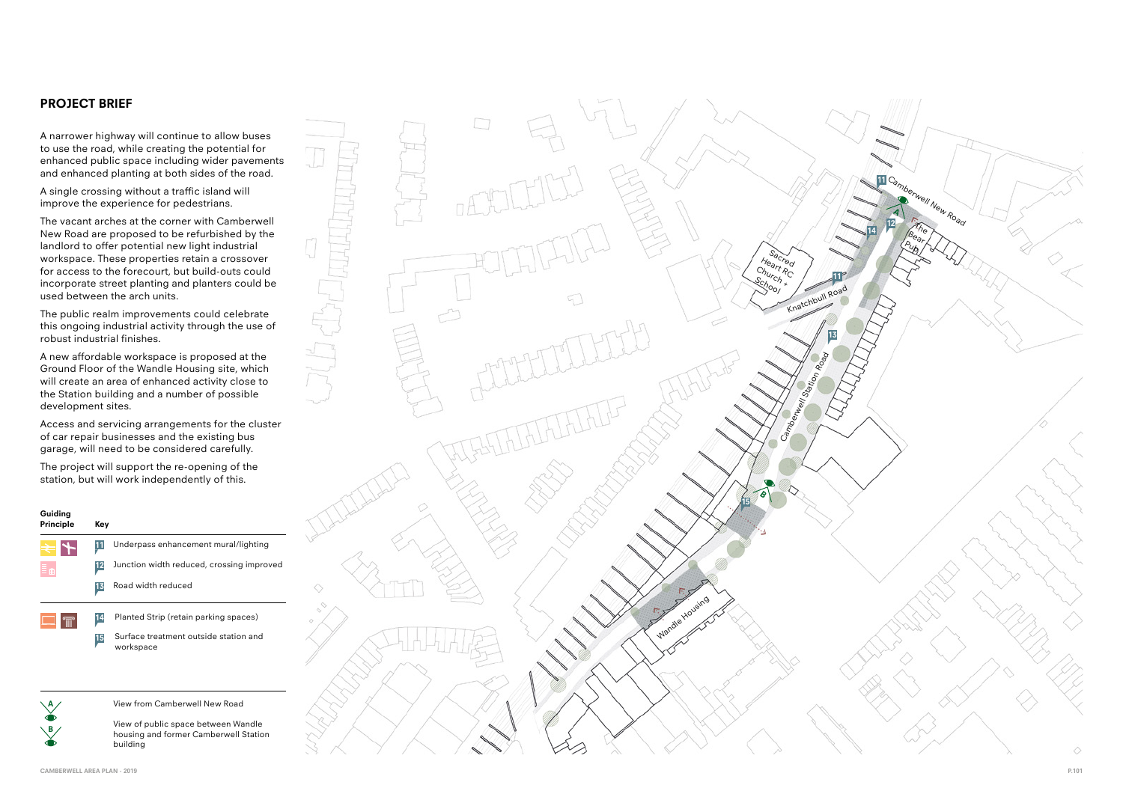A narrower highway will continue to allow buses to use the road, while creating the potential for enhanced public space including wider pavements and enhanced planting at both sides of the road.

A single crossing without a traffic island will improve the experience for pedestrians.

The vacant arches at the corner with Camberwell New Road are proposed to be refurbished by the landlord to offer potential new light industrial workspace. These properties retain a crossover for access to the forecourt, but build-outs could incorporate street planting and planters could be used between the arch units.

The public realm improvements could celebrate this ongoing industrial activity through the use of robust industrial finishes.

A new affordable workspace is proposed at the Ground Floor of the Wandle Housing site, which will create an area of enhanced activity close to the Station building and a number of possible development sites.

Access and servicing arrangements for the cluster of car repair businesses and the existing bus garage, will need to be considered carefully.

The project will support the re-opening of the station, but will work independently of this.

### **PROJECT BRIEF**

**15**

**BA**

 $\setminus$ B



| Guiding<br>Principle | Key             |                                           |
|----------------------|-----------------|-------------------------------------------|
|                      | 11              | Underpass enhancement mural/lighting      |
|                      | $\overline{12}$ | Junction width reduced, crossing improved |
|                      | 13              | Road width reduced                        |
|                      | 14              | Planted Strip (retain parking spaces)     |

Surface treatment outside station and workspace

View from Camberwell New Road

View of public space between Wandle housing and former Camberwell Station building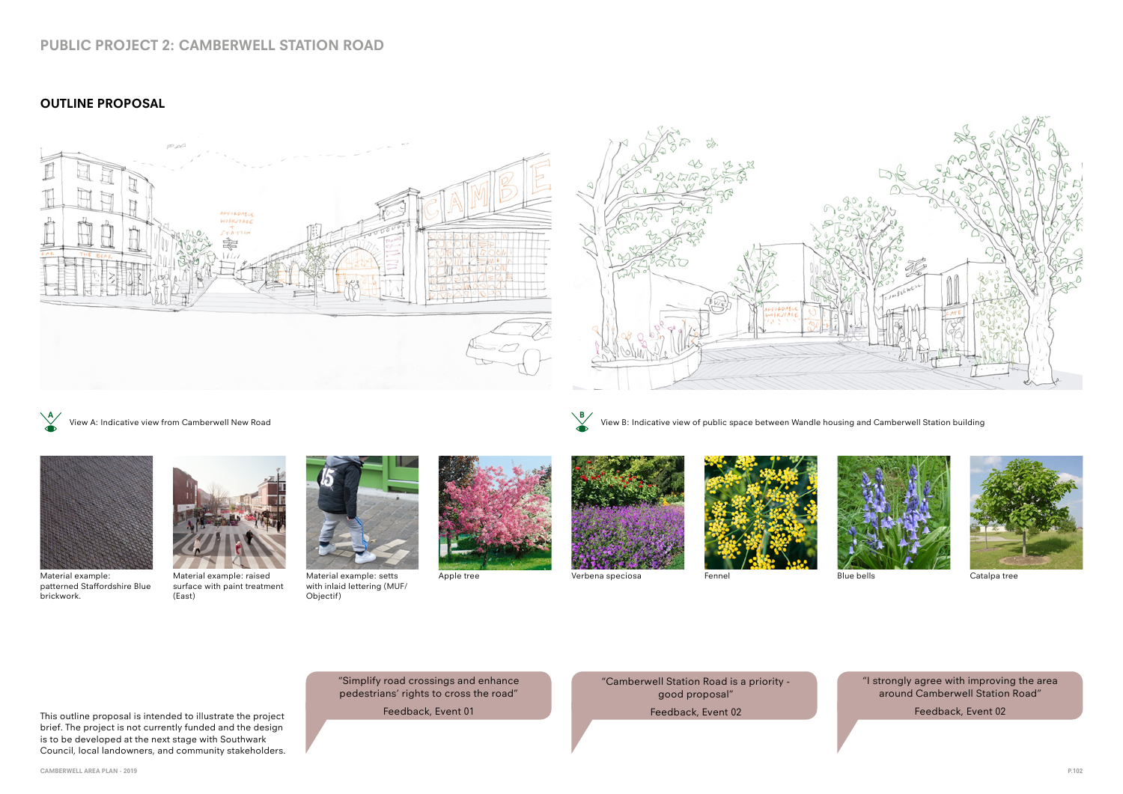



Material example: raised Material example: Apple tree Verbena speciosa Fennel Blue bells Catalpa tree surface with paint treatment (East)



Material example: setts with inlaid lettering (MUF/ Objectif)







# **PUBLIC PROJECT 2: CAMBERWELL STATION ROAD**

View A: Indicative view from Camberwell New Road **A B**

View B: Indicative view of public space between Wandle housing and Camberwell Station building





## **OUTLINE PROPOSAL**







patterned Staffordshire Blue brickwork.

This outline proposal is intended to illustrate the project

brief. The project is not currently funded and the design is to be developed at the next stage with Southwark Council, local landowners, and community stakeholders. "I strongly agree with improving the area around Camberwell Station Road"

Feedback, Event 02

"Camberwell Station Road is a priority good proposal"

Feedback, Event 02

"Simplify road crossings and enhance pedestrians' rights to cross the road"

Feedback, Event 01